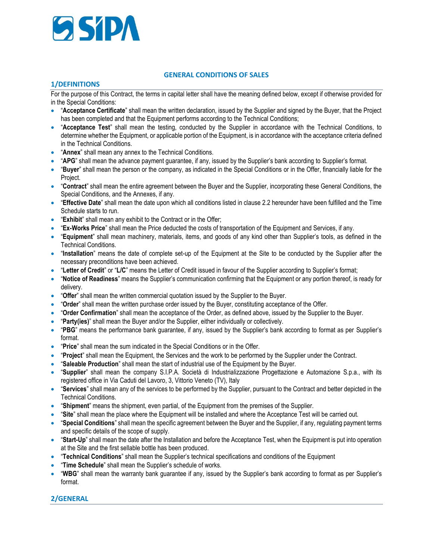

### **GENERAL CONDITIONS OF SALES**

### **1/DEFINITIONS**

For the purpose of this Contract, the terms in capital letter shall have the meaning defined below, except if otherwise provided for in the Special Conditions:

- "**Acceptance Certificate**" shall mean the written declaration, issued by the Supplier and signed by the Buyer, that the Project has been completed and that the Equipment performs according to the Technical Conditions;
- "**Acceptance Test**" shall mean the testing, conducted by the Supplier in accordance with the Technical Conditions, to determine whether the Equipment, or applicable portion of the Equipment, is in accordance with the acceptance criteria defined in the Technical Conditions.
- **"Annex"** shall mean any annex to the Technical Conditions.
- "**APG**" shall mean the advance payment guarantee, if any, issued by the Supplier's bank according to Supplier's format.
- "**Buyer**" shall mean the person or the company, as indicated in the Special Conditions or in the Offer, financially liable for the Project.
- "**Contract**" shall mean the entire agreement between the Buyer and the Supplier, incorporating these General Conditions, the Special Conditions, and the Annexes, if any.
- "**Effective Date**" shall mean the date upon which all conditions listed in clause 2.2 hereunder have been fulfilled and the Time Schedule starts to run.
- **•** "Exhibit" shall mean any exhibit to the Contract or in the Offer;
- "**Ex-Works Price**" shall mean the Price deducted the costs of transportation of the Equipment and Services, if any.
- "**Equipment**" shall mean machinery, materials, items, and goods of any kind other than Supplier's tools, as defined in the Technical Conditions.
- "**Installation**" means the date of complete set-up of the Equipment at the Site to be conducted by the Supplier after the necessary preconditions have been achieved.
- "**Letter of Credit**" or "**L/C**" means the Letter of Credit issued in favour of the Supplier according to Supplier's format;
- "**Notice of Readiness**" means the Supplier's communication confirming that the Equipment or any portion thereof, is ready for delivery.
- "**Offer**" shall mean the written commercial quotation issued by the Supplier to the Buyer.
- "**Order**" shall mean the written purchase order issued by the Buyer, constituting acceptance of the Offer.
- "**Order Confirmation**" shall mean the acceptance of the Order, as defined above, issued by the Supplier to the Buyer.
- "**Party(ies)**" shall mean the Buyer and/or the Supplier, either individually or collectively.
- "**PBG**" means the performance bank guarantee, if any, issued by the Supplier's bank according to format as per Supplier's format.
- "**Price**" shall mean the sum indicated in the Special Conditions or in the Offer.
- "**Project**" shall mean the Equipment, the Services and the work to be performed by the Supplier under the Contract.
- "**Saleable Production**" shall mean the start of industrial use of the Equipment by the Buyer.
- "**Supplier**" shall mean the company S.I.P.A. Società di Industrializzazione Progettazione e Automazione S.p.a., with its registered office in Via Caduti del Lavoro, 3, Vittorio Veneto (TV), Italy
- "**Services**" shall mean any of the services to be performed by the Supplier, pursuant to the Contract and better depicted in the Technical Conditions.
- "**Shipment**" means the shipment, even partial, of the Equipment from the premises of the Supplier.
- "**Site**" shall mean the place where the Equipment will be installed and where the Acceptance Test will be carried out.
- "**Special Conditions**" shall mean the specific agreement between the Buyer and the Supplier, if any, regulating payment terms and specific details of the scope of supply.
- "**Start-Up**" shall mean the date after the Installation and before the Acceptance Test, when the Equipment is put into operation at the Site and the first sellable bottle has been produced.
- "**Technical Conditions**" shall mean the Supplier's technical specifications and conditions of the Equipment
- "**Time Schedule**" shall mean the Supplier's schedule of works.
- "**WBG**" shall mean the warranty bank guarantee if any, issued by the Supplier's bank according to format as per Supplier's format.

## **2/GENERAL**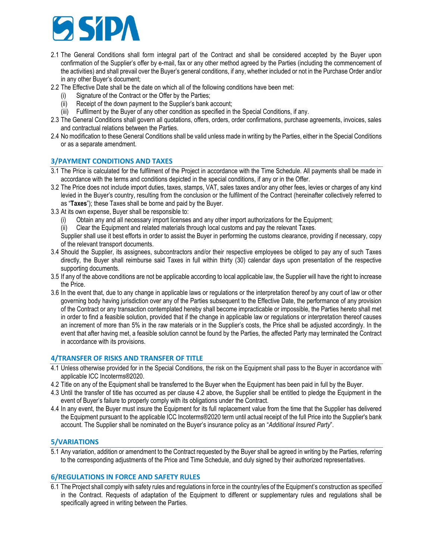

- 2.1 The General Conditions shall form integral part of the Contract and shall be considered accepted by the Buyer upon confirmation of the Supplier's offer by e-mail, fax or any other method agreed by the Parties (including the commencement of the activities) and shall prevail over the Buyer's general conditions, if any, whether included or not in the Purchase Order and/or in any other Buyer's document;
- 2.2 The Effective Date shall be the date on which all of the following conditions have been met:
	- Signature of the Contract or the Offer by the Parties;
	- (ii) Receipt of the down payment to the Supplier's bank account;
	- (iii) Fulfilment by the Buyer of any other condition as specified in the Special Conditions, if any.
- 2.3 The General Conditions shall govern all quotations, offers, orders, order confirmations, purchase agreements, invoices, sales and contractual relations between the Parties.
- 2.4 No modification to these General Conditions shall be valid unless made in writing by the Parties, either in the Special Conditions or as a separate amendment.

### **3/PAYMENT CONDITIONS AND TAXES**

- 3.1 The Price is calculated for the fulfilment of the Project in accordance with the Time Schedule. All payments shall be made in accordance with the terms and conditions depicted in the special conditions, if any or in the Offer.
- 3.2 The Price does not include import duties, taxes, stamps, VAT, sales taxes and/or any other fees, levies or charges of any kind levied in the Buyer's country, resulting from the conclusion or the fulfilment of the Contract (hereinafter collectively referred to as "**Taxes**"); these Taxes shall be borne and paid by the Buyer.
- 3.3 At its own expense, Buyer shall be responsible to:
	- (i) Obtain any and all necessary import licenses and any other import authorizations for the Equipment;
	- (ii) Clear the Equipment and related materials through local customs and pay the relevant Taxes.

Supplier shall use it best efforts in order to assist the Buyer in performing the customs clearance, providing if necessary, copy of the relevant transport documents.

- 3.4 Should the Supplier, its assignees, subcontractors and/or their respective employees be obliged to pay any of such Taxes directly, the Buyer shall reimburse said Taxes in full within thirty (30) calendar days upon presentation of the respective supporting documents.
- 3.5 If any of the above conditions are not be applicable according to local applicable law, the Supplier will have the right to increase the Price.
- 3.6 In the event that, due to any change in applicable laws or regulations or the interpretation thereof by any court of law or other governing body having jurisdiction over any of the Parties subsequent to the Effective Date, the performance of any provision of the Contract or any transaction contemplated hereby shall become impracticable or impossible, the Parties hereto shall met in order to find a feasible solution, provided that if the change in applicable law or regulations or interpretation thereof causes an increment of more than 5% in the raw materials or in the Supplier's costs, the Price shall be adjusted accordingly. In the event that after having met, a feasible solution cannot be found by the Parties, the affected Party may terminated the Contract in accordance with its provisions.

### **4/TRANSFER OF RISKS AND TRANSFER OF TITLE**

- 4.1 Unless otherwise provided for in the Special Conditions, the risk on the Equipment shall pass to the Buyer in accordance with applicable ICC Incoterms®2020.
- 4.2 Title on any of the Equipment shall be transferred to the Buyer when the Equipment has been paid in full by the Buyer.
- 4.3 Until the transfer of title has occurred as per clause 4.2 above, the Supplier shall be entitled to pledge the Equipment in the event of Buyer's failure to properly comply with its obligations under the Contract.
- 4.4 In any event, the Buyer must insure the Equipment for its full replacement value from the time that the Supplier has delivered the Equipment pursuant to the applicable ICC Incoterms®2020 term until actual receipt of the full Price into the Supplier's bank account. The Supplier shall be nominated on the Buyer's insurance policy as an "*Additional Insured Party*".

### **5/VARIATIONS**

5.1 Any variation, addition or amendment to the Contract requested by the Buyer shall be agreed in writing by the Parties, referring to the corresponding adjustments of the Price and Time Schedule, and duly signed by their authorized representatives.

#### **6/REGULATIONS IN FORCE AND SAFETY RULES**

6.1 The Project shall comply with safety rules and regulations in force in the country/ies of the Equipment's construction as specified in the Contract. Requests of adaptation of the Equipment to different or supplementary rules and regulations shall be specifically agreed in writing between the Parties.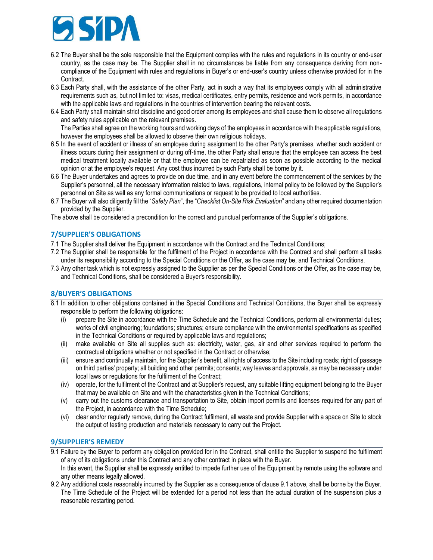

- 6.2 The Buyer shall be the sole responsible that the Equipment complies with the rules and regulations in its country or end-user country, as the case may be. The Supplier shall in no circumstances be liable from any consequence deriving from noncompliance of the Equipment with rules and regulations in Buyer's or end-user's country unless otherwise provided for in the Contract.
- 6.3 Each Party shall, with the assistance of the other Party, act in such a way that its employees comply with all administrative requirements such as, but not limited to: visas, medical certificates, entry permits, residence and work permits, in accordance with the applicable laws and regulations in the countries of intervention bearing the relevant costs.
- 6.4 Each Party shall maintain strict discipline and good order among its employees and shall cause them to observe all regulations and safety rules applicable on the relevant premises.

The Parties shall agree on the working hours and working days of the employees in accordance with the applicable regulations, however the employees shall be allowed to observe their own religious holidays.

- 6.5 In the event of accident or illness of an employee during assignment to the other Party's premises, whether such accident or illness occurs during their assignment or during off-time, the other Party shall ensure that the employee can access the best medical treatment locally available or that the employee can be repatriated as soon as possible according to the medical opinion or at the employee's request. Any cost thus incurred by such Party shall be borne by it.
- 6.6 The Buyer undertakes and agrees to provide on due time, and in any event before the commencement of the services by the Supplier's personnel, all the necessary information related to laws, regulations, internal policy to be followed by the Supplier's personnel on Site as well as any formal communications or request to be provided to local authorities.
- 6.7 The Buyer will also diligently fill the "*Safety Plan*", the "*Checklist On-Site Risk Evaluation*" and any other required documentation provided by the Supplier.

The above shall be considered a precondition for the correct and punctual performance of the Supplier's obligations.

## **7/SUPPLIER'S OBLIGATIONS**

7.1 The Supplier shall deliver the Equipment in accordance with the Contract and the Technical Conditions;

- 7.2 The Supplier shall be responsible for the fulfilment of the Project in accordance with the Contract and shall perform all tasks under its responsibility according to the Special Conditions or the Offer, as the case may be, and Technical Conditions.
- 7.3 Any other task which is not expressly assigned to the Supplier as per the Special Conditions or the Offer, as the case may be, and Technical Conditions, shall be considered a Buyer's responsibility.

## **8/BUYER'S OBLIGATIONS**

- 8.1 In addition to other obligations contained in the Special Conditions and Technical Conditions, the Buyer shall be expressly responsible to perform the following obligations:
	- (i) prepare the Site in accordance with the Time Schedule and the Technical Conditions, perform all environmental duties; works of civil engineering; foundations; structures; ensure compliance with the environmental specifications as specified in the Technical Conditions or required by applicable laws and regulations;
	- (ii) make available on Site all supplies such as: electricity, water, gas, air and other services required to perform the contractual obligations whether or not specified in the Contract or otherwise;
	- (iii) ensure and continually maintain, for the Supplier's benefit, all rights of access to the Site including roads; right of passage on third parties' property; all building and other permits; consents; way leaves and approvals, as may be necessary under local laws or regulations for the fulfilment of the Contract;
	- (iv) operate, for the fulfilment of the Contract and at Supplier's request, any suitable lifting equipment belonging to the Buyer that may be available on Site and with the characteristics given in the Technical Conditions;
	- (v) carry out the customs clearance and transportation to Site, obtain import permits and licenses required for any part of the Project, in accordance with the Time Schedule;
	- (vi) clear and/or regularly remove, during the Contract fulfilment, all waste and provide Supplier with a space on Site to stock the output of testing production and materials necessary to carry out the Project.

### **9/SUPPLIER'S REMEDY**

- 9.1 Failure by the Buyer to perform any obligation provided for in the Contract, shall entitle the Supplier to suspend the fulfilment of any of its obligations under this Contract and any other contract in place with the Buyer. In this event, the Supplier shall be expressly entitled to impede further use of the Equipment by remote using the software and any other means legally allowed.
- 9.2 Any additional costs reasonably incurred by the Supplier as a consequence of clause 9.1 above, shall be borne by the Buyer. The Time Schedule of the Project will be extended for a period not less than the actual duration of the suspension plus a reasonable restarting period.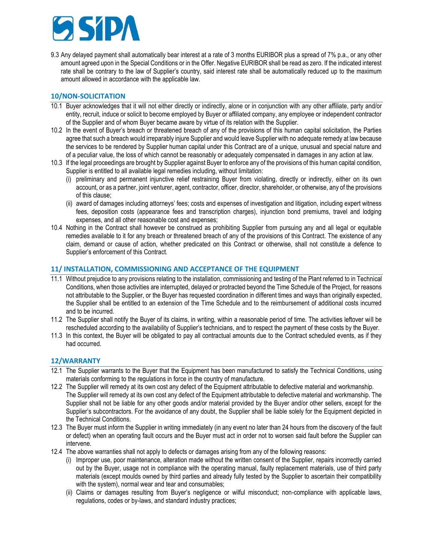

9.3 Any delayed payment shall automatically bear interest at a rate of 3 months EURIBOR plus a spread of 7% p.a., or any other amount agreed upon in the Special Conditions or in the Offer. Negative EURIBOR shall be read as zero. If the indicated interest rate shall be contrary to the law of Supplier's country, said interest rate shall be automatically reduced up to the maximum amount allowed in accordance with the applicable law.

### **10/NON-SOLICITATION**

- 10.1 Buyer acknowledges that it will not either directly or indirectly, alone or in conjunction with any other affiliate, party and/or entity, recruit, induce or solicit to become employed by Buyer or affiliated company, any employee or independent contractor of the Supplier and of whom Buyer became aware by virtue of its relation with the Supplier.
- 10.2 In the event of Buyer's breach or threatened breach of any of the provisions of this human capital solicitation, the Parties agree that such a breach would irreparably injure Supplier and would leave Supplier with no adequate remedy at law because the services to be rendered by Supplier human capital under this Contract are of a unique, unusual and special nature and of a peculiar value, the loss of which cannot be reasonably or adequately compensated in damages in any action at law.
- 10.3 If the legal proceedings are brought by Supplier against Buyer to enforce any of the provisions of this human capital condition, Supplier is entitled to all available legal remedies including, without limitation:
	- (i) preliminary and permanent injunctive relief restraining Buyer from violating, directly or indirectly, either on its own account, or as a partner, joint venturer, agent, contractor, officer, director, shareholder, or otherwise, any of the provisions of this clause;
	- (ii) award of damages including attorneys' fees; costs and expenses of investigation and litigation, including expert witness fees, deposition costs (appearance fees and transcription charges), injunction bond premiums, travel and lodging expenses, and all other reasonable cost and expenses;
- 10.4 Nothing in the Contract shall however be construed as prohibiting Supplier from pursuing any and all legal or equitable remedies available to it for any breach or threatened breach of any of the provisions of this Contract. The existence of any claim, demand or cause of action, whether predicated on this Contract or otherwise, shall not constitute a defence to Supplier's enforcement of this Contract.

### **11/ INSTALLATION, COMMISSIONING AND ACCEPTANCE OF THE EQUIPMENT**

- 11.1 Without prejudice to any provisions relating to the installation, commissioning and testing of the Plant referred to in Technical Conditions, when those activities are interrupted, delayed or protracted beyond the Time Schedule of the Project, for reasons not attributable to the Supplier, or the Buyer has requested coordination in different times and ways than originally expected, the Supplier shall be entitled to an extension of the Time Schedule and to the reimbursement of additional costs incurred and to be incurred.
- 11.2 The Supplier shall notify the Buyer of its claims, in writing, within a reasonable period of time. The activities leftover will be rescheduled according to the availability of Supplier's technicians, and to respect the payment of these costs by the Buyer.
- 11.3 In this context, the Buyer will be obligated to pay all contractual amounts due to the Contract scheduled events, as if they had occurred.

### **12/WARRANTY**

- 12.1 The Supplier warrants to the Buyer that the Equipment has been manufactured to satisfy the Technical Conditions, using materials conforming to the regulations in force in the country of manufacture.
- 12.2 The Supplier will remedy at its own cost any defect of the Equipment attributable to defective material and workmanship. The Supplier will remedy at its own cost any defect of the Equipment attributable to defective material and workmanship. The Supplier shall not be liable for any other goods and/or material provided by the Buyer and/or other sellers, except for the Supplier's subcontractors. For the avoidance of any doubt, the Supplier shall be liable solely for the Equipment depicted in the Technical Conditions.
- 12.3 The Buyer must inform the Supplier in writing immediately (in any event no later than 24 hours from the discovery of the fault or defect) when an operating fault occurs and the Buyer must act in order not to worsen said fault before the Supplier can intervene.
- 12.4 The above warranties shall not apply to defects or damages arising from any of the following reasons:
	- (i) Improper use, poor maintenance, alteration made without the written consent of the Supplier, repairs incorrectly carried out by the Buyer, usage not in compliance with the operating manual, faulty replacement materials, use of third party materials (except moulds owned by third parties and already fully tested by the Supplier to ascertain their compatibility with the system), normal wear and tear and consumables;
	- (ii) Claims or damages resulting from Buyer's negligence or wilful misconduct; non-compliance with applicable laws, regulations, codes or by-laws, and standard industry practices;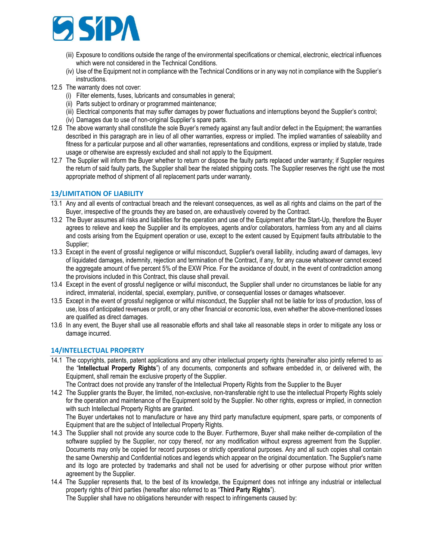

- (iii) Exposure to conditions outside the range of the environmental specifications or chemical, electronic, electrical influences which were not considered in the Technical Conditions.
- (iv) Use of the Equipment not in compliance with the Technical Conditions or in any way not in compliance with the Supplier's instructions.
- 12.5 The warranty does not cover:
	- (i) Filter elements, fuses, lubricants and consumables in general;
	- (ii) Parts subject to ordinary or programmed maintenance;
	- (iii) Electrical components that may suffer damages by power fluctuations and interruptions beyond the Supplier's control;
	- (iv) Damages due to use of non-original Supplier's spare parts.
- 12.6 The above warranty shall constitute the sole Buyer's remedy against any fault and/or defect in the Equipment; the warranties described in this paragraph are in lieu of all other warranties, express or implied. The implied warranties of saleability and fitness for a particular purpose and all other warranties, representations and conditions, express or implied by statute, trade usage or otherwise are expressly excluded and shall not apply to the Equipment.
- 12.7 The Supplier will inform the Buyer whether to return or dispose the faulty parts replaced under warranty; if Supplier requires the return of said faulty parts, the Supplier shall bear the related shipping costs. The Supplier reserves the right use the most appropriate method of shipment of all replacement parts under warranty.

# **13/LIMITATION OF LIABILITY**

- 13.1 Any and all events of contractual breach and the relevant consequences, as well as all rights and claims on the part of the Buyer, irrespective of the grounds they are based on, are exhaustively covered by the Contract.
- 13.2 The Buyer assumes all risks and liabilities for the operation and use of the Equipment after the Start-Up, therefore the Buyer agrees to relieve and keep the Supplier and its employees, agents and/or collaborators, harmless from any and all claims and costs arising from the Equipment operation or use, except to the extent caused by Equipment faults attributable to the Supplier;
- 13.3 Except in the event of grossful negligence or wilful misconduct, Supplier's overall liability, including award of damages, levy of liquidated damages, indemnity, rejection and termination of the Contract, if any, for any cause whatsoever cannot exceed the aggregate amount of five percent 5% of the EXW Price. For the avoidance of doubt, in the event of contradiction among the provisions included in this Contract, this clause shall prevail.
- 13.4 Except in the event of grossful negligence or wilful misconduct, the Supplier shall under no circumstances be liable for any indirect, immaterial, incidental, special, exemplary, punitive, or consequential losses or damages whatsoever.
- 13.5 Except in the event of grossful negligence or wilful misconduct, the Supplier shall not be liable for loss of production, loss of use, loss of anticipated revenues or profit, or any other financial or economic loss, even whether the above-mentioned losses are qualified as direct damages.
- 13.6 In any event, the Buyer shall use all reasonable efforts and shall take all reasonable steps in order to mitigate any loss or damage incurred.

## **14/INTELLECTUAL PROPERTY**

- 14.1 The copyrights, patents, patent applications and any other intellectual property rights (hereinafter also jointly referred to as the "**Intellectual Property Rights**") of any documents, components and software embedded in, or delivered with, the Equipment, shall remain the exclusive property of the Supplier.
	- The Contract does not provide any transfer of the Intellectual Property Rights from the Supplier to the Buyer
- 14.2 The Supplier grants the Buyer, the limited, non-exclusive, non-transferable right to use the intellectual Property Rights solely for the operation and maintenance of the Equipment sold by the Supplier. No other rights, express or implied, in connection with such Intellectual Property Rights are granted.

The Buyer undertakes not to manufacture or have any third party manufacture equipment, spare parts, or components of Equipment that are the subject of Intellectual Property Rights.

- 14.3 The Supplier shall not provide any source code to the Buyer. Furthermore, Buyer shall make neither de-compilation of the software supplied by the Supplier, nor copy thereof, nor any modification without express agreement from the Supplier. Documents may only be copied for record purposes or strictly operational purposes. Any and all such copies shall contain the same Ownership and Confidential notices and legends which appear on the original documentation. The Supplier's name and its logo are protected by trademarks and shall not be used for advertising or other purpose without prior written agreement by the Supplier.
- 14.4 The Supplier represents that, to the best of its knowledge, the Equipment does not infringe any industrial or intellectual property rights of third parties (hereafter also referred to as "**Third Party Rights**").

The Supplier shall have no obligations hereunder with respect to infringements caused by: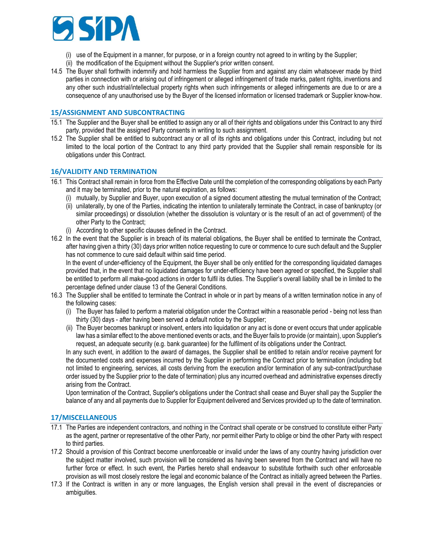

- (i) use of the Equipment in a manner, for purpose, or in a foreign country not agreed to in writing by the Supplier;
- (ii) the modification of the Equipment without the Supplier's prior written consent.
- 14.5 The Buyer shall forthwith indemnify and hold harmless the Supplier from and against any claim whatsoever made by third parties in connection with or arising out of infringement or alleged infringement of trade marks, patent rights, inventions and any other such industrial/intellectual property rights when such infringements or alleged infringements are due to or are a consequence of any unauthorised use by the Buyer of the licensed information or licensed trademark or Supplier know-how.

### **15/ASSIGNMENT AND SUBCONTRACTING**

- 15.1 The Supplier and the Buyer shall be entitled to assign any or all of their rights and obligations under this Contract to any third party, provided that the assigned Party consents in writing to such assignment.
- 15.2 The Supplier shall be entitled to subcontract any or all of its rights and obligations under this Contract, including but not limited to the local portion of the Contract to any third party provided that the Supplier shall remain responsible for its obligations under this Contract.

### **16/VALIDITY AND TERMINATION**

- 16.1 This Contract shall remain in force from the Effective Date until the completion of the corresponding obligations by each Party and it may be terminated, prior to the natural expiration, as follows:
	- (i) mutually, by Supplier and Buyer, upon execution of a signed document attesting the mutual termination of the Contract;
	- (ii) unilaterally, by one of the Parties, indicating the intention to unilaterally terminate the Contract, in case of bankruptcy (or similar proceedings) or dissolution (whether the dissolution is voluntary or is the result of an act of government) of the other Party to the Contract;
	- (i) According to other specific clauses defined in the Contract.
- 16.2 In the event that the Supplier is in breach of its material obligations, the Buyer shall be entitled to terminate the Contract, after having given a thirty (30) days prior written notice requesting to cure or commence to cure such default and the Supplier has not commence to cure said default within said time period.

In the event of under-efficiency of the Equipment, the Buyer shall be only entitled for the corresponding liquidated damages provided that, in the event that no liquidated damages for under-efficiency have been agreed or specified, the Supplier shall be entitled to perform all make-good actions in order to fulfil its duties. The Supplier's overall liability shall be in limited to the percentage defined under clause 13 of the General Conditions.

- 16.3 The Supplier shall be entitled to terminate the Contract in whole or in part by means of a written termination notice in any of the following cases:
	- (i) The Buyer has failed to perform a material obligation under the Contract within a reasonable period being not less than thirty (30) days - after having been served a default notice by the Supplier;
	- (ii) The Buyer becomes bankrupt or insolvent, enters into liquidation or any act is done or event occurs that under applicable law has a similar effect to the above mentioned events or acts, and the Buyer fails to provide (or maintain), upon Supplier's request, an adequate security (e.g. bank guarantee) for the fulfilment of its obligations under the Contract.

In any such event, in addition to the award of damages, the Supplier shall be entitled to retain and/or receive payment for the documented costs and expenses incurred by the Supplier in performing the Contract prior to termination (including but not limited to engineering, services, all costs deriving from the execution and/or termination of any sub-contract/purchase order issued by the Supplier prior to the date of termination) plus any incurred overhead and administrative expenses directly arising from the Contract.

Upon termination of the Contract, Supplier's obligations under the Contract shall cease and Buyer shall pay the Supplier the balance of any and all payments due to Supplier for Equipment delivered and Services provided up to the date of termination.

### **17/MISCELLANEOUS**

- 17.1 The Parties are independent contractors, and nothing in the Contract shall operate or be construed to constitute either Party as the agent, partner or representative of the other Party, nor permit either Party to oblige or bind the other Party with respect to third parties.
- 17.2 Should a provision of this Contract become unenforceable or invalid under the laws of any country having jurisdiction over the subject matter involved, such provision will be considered as having been severed from the Contract and will have no further force or effect. In such event, the Parties hereto shall endeavour to substitute forthwith such other enforceable provision as will most closely restore the legal and economic balance of the Contract as initially agreed between the Parties.
- 17.3 If the Contract is written in any or more languages, the English version shall prevail in the event of discrepancies or ambiguities.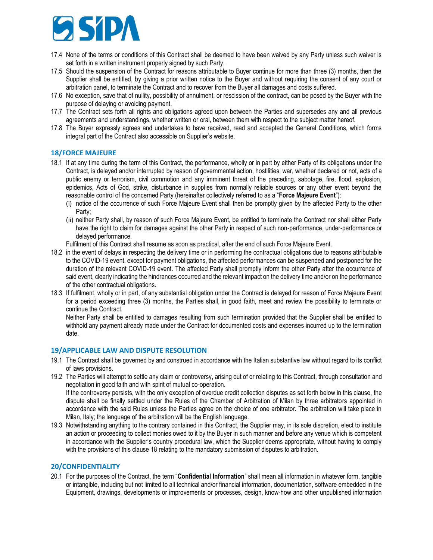

- 17.4 None of the terms or conditions of this Contract shall be deemed to have been waived by any Party unless such waiver is set forth in a written instrument properly signed by such Party.
- 17.5 Should the suspension of the Contract for reasons attributable to Buyer continue for more than three (3) months, then the Supplier shall be entitled, by giving a prior written notice to the Buyer and without requiring the consent of any court or arbitration panel, to terminate the Contract and to recover from the Buyer all damages and costs suffered.
- 17.6 No exception, save that of nullity, possibility of annulment, or rescission of the contract, can be posed by the Buyer with the purpose of delaying or avoiding payment.
- 17.7 The Contract sets forth all rights and obligations agreed upon between the Parties and supersedes any and all previous agreements and understandings, whether written or oral, between them with respect to the subject matter hereof.
- 17.8 The Buyer expressly agrees and undertakes to have received, read and accepted the General Conditions, which forms integral part of the Contract also accessible on Supplier's website.

### **18/FORCE MAJEURE**

- 18.1 If at any time during the term of this Contract, the performance, wholly or in part by either Party of its obligations under the Contract, is delayed and/or interrupted by reason of governmental action, hostilities, war, whether declared or not, acts of a public enemy or terrorism, civil commotion and any imminent threat of the preceding, sabotage, fire, flood, explosion, epidemics, Acts of God, strike, disturbance in supplies from normally reliable sources or any other event beyond the reasonable control of the concerned Party (hereinafter collectively referred to as a "**Force Majeure Event**"):
	- (i) notice of the occurrence of such Force Majeure Event shall then be promptly given by the affected Party to the other Party;
	- (ii) neither Party shall, by reason of such Force Majeure Event, be entitled to terminate the Contract nor shall either Party have the right to claim for damages against the other Party in respect of such non-performance, under-performance or delayed performance.
	- Fulfilment of this Contract shall resume as soon as practical, after the end of such Force Majeure Event.
- 18.2 in the event of delays in respecting the delivery time or in performing the contractual obligations due to reasons attributable to the COVID-19 event, except for payment obligations, the affected performances can be suspended and postponed for the duration of the relevant COVID-19 event. The affected Party shall promptly inform the other Party after the occurrence of said event, clearly indicating the hindrances occurred and the relevant impact on the delivery time and/or on the performance of the other contractual obligations.
- 18.3 If fulfilment, wholly or in part, of any substantial obligation under the Contract is delayed for reason of Force Majeure Event for a period exceeding three (3) months, the Parties shall, in good faith, meet and review the possibility to terminate or continue the Contract.

Neither Party shall be entitled to damages resulting from such termination provided that the Supplier shall be entitled to withhold any payment already made under the Contract for documented costs and expenses incurred up to the termination date.

### **19/APPLICABLE LAW AND DISPUTE RESOLUTION**

- 19.1 The Contract shall be governed by and construed in accordance with the Italian substantive law without regard to its conflict of laws provisions.
- 19.2 The Parties will attempt to settle any claim or controversy, arising out of or relating to this Contract, through consultation and negotiation in good faith and with spirit of mutual co-operation. If the controversy persists, with the only exception of overdue credit collection disputes as set forth below in this clause, the

dispute shall be finally settled under the Rules of the Chamber of Arbitration of Milan by three arbitrators appointed in accordance with the said Rules unless the Parties agree on the choice of one arbitrator. The arbitration will take place in Milan, Italy; the language of the arbitration will be the English language.

19.3 Notwithstanding anything to the contrary contained in this Contract, the Supplier may, in its sole discretion, elect to institute an action or proceeding to collect monies owed to it by the Buyer in such manner and before any venue which is competent in accordance with the Supplier's country procedural law, which the Supplier deems appropriate, without having to comply with the provisions of this clause 18 relating to the mandatory submission of disputes to arbitration.

### **20/CONFIDENTIALITY**

20.1 For the purposes of the Contract, the term "**Confidential Information**" shall mean all information in whatever form, tangible or intangible, including but not limited to all technical and/or financial information, documentation, software embedded in the Equipment, drawings, developments or improvements or processes, design, know-how and other unpublished information